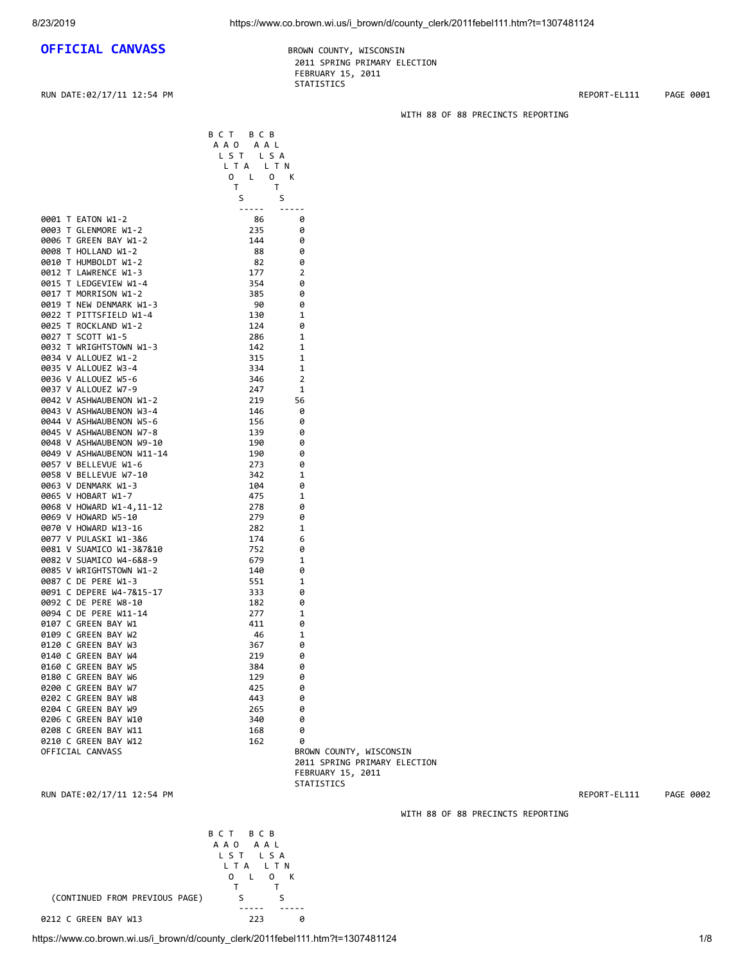# **OFFICIAL CANVASS** BROWN COUNTY, WISCONSIN

 2011 SPRING PRIMARY ELECTION FEBRUARY 15, 2011 STATISTICS

RUN DATE:02/17/11 12:54 PM **REPORT-EL111** PAGE 0001

## WITH 88 OF 88 PRECINCTS REPORTING

|                                                | B C T B C B<br>AAO AAL<br>LST LSA<br>L T A<br>LTN<br>0 L<br>$\overline{0}$                                                                                                                                                                                                                                                                                                                   | К             |                         |
|------------------------------------------------|----------------------------------------------------------------------------------------------------------------------------------------------------------------------------------------------------------------------------------------------------------------------------------------------------------------------------------------------------------------------------------------------|---------------|-------------------------|
|                                                | T<br>T<br>S<br>S                                                                                                                                                                                                                                                                                                                                                                             |               |                         |
|                                                | $\frac{1}{2} \frac{1}{2} \frac{1}{2} \frac{1}{2} \frac{1}{2} \frac{1}{2} \frac{1}{2} \frac{1}{2} \frac{1}{2} \frac{1}{2} \frac{1}{2} \frac{1}{2} \frac{1}{2} \frac{1}{2} \frac{1}{2} \frac{1}{2} \frac{1}{2} \frac{1}{2} \frac{1}{2} \frac{1}{2} \frac{1}{2} \frac{1}{2} \frac{1}{2} \frac{1}{2} \frac{1}{2} \frac{1}{2} \frac{1}{2} \frac{1}{2} \frac{1}{2} \frac{1}{2} \frac{1}{2} \frac{$ | $\frac{1}{2}$ |                         |
| 0001 T EATON W1-2                              | 86                                                                                                                                                                                                                                                                                                                                                                                           | 0             |                         |
| 0003 T GLENMORE W1-2                           | 235                                                                                                                                                                                                                                                                                                                                                                                          | 0             |                         |
| 0006 T GREEN BAY W1-2                          | 144                                                                                                                                                                                                                                                                                                                                                                                          | 0             |                         |
| 0008 T HOLLAND W1-2                            | 88                                                                                                                                                                                                                                                                                                                                                                                           | 0             |                         |
| 0010 T HUMBOLDT W1-2                           | 82                                                                                                                                                                                                                                                                                                                                                                                           | 0             |                         |
| 0012 T LAWRENCE W1-3                           | 177                                                                                                                                                                                                                                                                                                                                                                                          | 2             |                         |
| 0015 T LEDGEVIEW W1-4                          | 354                                                                                                                                                                                                                                                                                                                                                                                          | 0             |                         |
| 0017 T MORRISON W1-2                           | 385                                                                                                                                                                                                                                                                                                                                                                                          | 0             |                         |
| 0019 T NEW DENMARK W1-3                        | 90                                                                                                                                                                                                                                                                                                                                                                                           | 0             |                         |
| 0022 T PITTSFIELD W1-4                         | 130                                                                                                                                                                                                                                                                                                                                                                                          | 1             |                         |
| 0025 T ROCKLAND W1-2<br>0027 T SCOTT W1-5      | 124<br>286                                                                                                                                                                                                                                                                                                                                                                                   | 0<br>1        |                         |
| 0032 T WRIGHTSTOWN W1-3                        | 142                                                                                                                                                                                                                                                                                                                                                                                          | 1             |                         |
| 0034 V ALLOUEZ W1-2                            | 315                                                                                                                                                                                                                                                                                                                                                                                          | 1             |                         |
| 0035 V ALLOUEZ W3-4                            | 334                                                                                                                                                                                                                                                                                                                                                                                          | 1             |                         |
| 0036 V ALLOUEZ W5-6                            | 346                                                                                                                                                                                                                                                                                                                                                                                          | 2             |                         |
| 0037 V ALLOUEZ W7-9                            | 247                                                                                                                                                                                                                                                                                                                                                                                          | 1             |                         |
| 0042 V ASHWAUBENON W1-2                        | 219                                                                                                                                                                                                                                                                                                                                                                                          | 56            |                         |
| 0043 V ASHWAUBENON W3-4                        | 146                                                                                                                                                                                                                                                                                                                                                                                          | 0             |                         |
| 0044 V ASHWAUBENON W5-6                        | 156                                                                                                                                                                                                                                                                                                                                                                                          | ø             |                         |
| 0045 V ASHWAUBENON W7-8                        | 139                                                                                                                                                                                                                                                                                                                                                                                          | 0             |                         |
| 0048 V ASHWAUBENON W9-10                       | 190                                                                                                                                                                                                                                                                                                                                                                                          | 0             |                         |
| 0049 V ASHWAUBENON W11-14                      | 190                                                                                                                                                                                                                                                                                                                                                                                          | 0             |                         |
| 0057 V BELLEVUE W1-6                           | 273                                                                                                                                                                                                                                                                                                                                                                                          | 0             |                         |
| 0058 V BELLEVUE W7-10                          | 342                                                                                                                                                                                                                                                                                                                                                                                          | 1             |                         |
| 0063 V DENMARK W1-3                            | 104                                                                                                                                                                                                                                                                                                                                                                                          | 0             |                         |
| 0065 V HOBART W1-7<br>0068 V HOWARD W1-4,11-12 | 475<br>278                                                                                                                                                                                                                                                                                                                                                                                   | 1<br>0        |                         |
| 0069 V HOWARD W5-10                            | 279                                                                                                                                                                                                                                                                                                                                                                                          | 0             |                         |
| 0070 V HOWARD W13-16                           | 282                                                                                                                                                                                                                                                                                                                                                                                          | 1             |                         |
| 0077 V PULASKI W1-3&6                          | 174                                                                                                                                                                                                                                                                                                                                                                                          | 6             |                         |
| 0081 V SUAMICO W1-3&7&10                       | 752                                                                                                                                                                                                                                                                                                                                                                                          | 0             |                         |
| 0082 V SUAMICO W4-6&8-9                        | 679                                                                                                                                                                                                                                                                                                                                                                                          | 1             |                         |
| 0085 V WRIGHTSTOWN W1-2                        | 140                                                                                                                                                                                                                                                                                                                                                                                          | 0             |                         |
| 0087 C DE PERE W1-3                            | 551                                                                                                                                                                                                                                                                                                                                                                                          | 1             |                         |
| 0091 C DEPERE W4-7&15-17                       | 333                                                                                                                                                                                                                                                                                                                                                                                          | 0             |                         |
| 0092 C DE PERE W8-10                           | 182                                                                                                                                                                                                                                                                                                                                                                                          | 0             |                         |
| 0094 C DE PERE W11-14                          | 277                                                                                                                                                                                                                                                                                                                                                                                          | 1             |                         |
| 0107 C GREEN BAY W1                            | 411                                                                                                                                                                                                                                                                                                                                                                                          | 0             |                         |
| 0109 C GREEN BAY W2                            | 46                                                                                                                                                                                                                                                                                                                                                                                           | 1             |                         |
| 0120 C GREEN BAY W3                            | 367                                                                                                                                                                                                                                                                                                                                                                                          | 0             |                         |
| 0140 C GREEN BAY W4                            | 219                                                                                                                                                                                                                                                                                                                                                                                          | 0             |                         |
| 0160 C GREEN BAY W5<br>0180 C GREEN BAY W6     | 384<br>129                                                                                                                                                                                                                                                                                                                                                                                   | 0<br>0        |                         |
| 0200 C GREEN BAY W7                            | 425                                                                                                                                                                                                                                                                                                                                                                                          | 0             |                         |
| 0202 C GREEN BAY W8                            | 443                                                                                                                                                                                                                                                                                                                                                                                          | 0             |                         |
| 0204 C GREEN BAY W9                            | 265                                                                                                                                                                                                                                                                                                                                                                                          | 0             |                         |
| 0206 C GREEN BAY W10                           | 340                                                                                                                                                                                                                                                                                                                                                                                          | 0             |                         |
| 0208 C GREEN BAY W11                           | 168                                                                                                                                                                                                                                                                                                                                                                                          | 0             |                         |
| 0210 C GREEN BAY W12                           | 162                                                                                                                                                                                                                                                                                                                                                                                          | 0             |                         |
| OFFICIAL CANVASS                               |                                                                                                                                                                                                                                                                                                                                                                                              |               | BROWN COUNTY, WISCONSIN |

 2011 SPRING PRIMARY ELECTION FEBRUARY 15, 2011 STATISTICS

RUN DATE:02/17/11 12:54 PM REPORT-EL111 PAGE 0002

B C T B C B A A O A A L L S T L S A L T A L T N

 T T (CONTINUED FROM PREVIOUS PAGE) S<br>----- --- ----- ----- 0212 C GREEN BAY W13 223 0

WITH 88 OF 88 PRECINCTS REPORTING

O L O K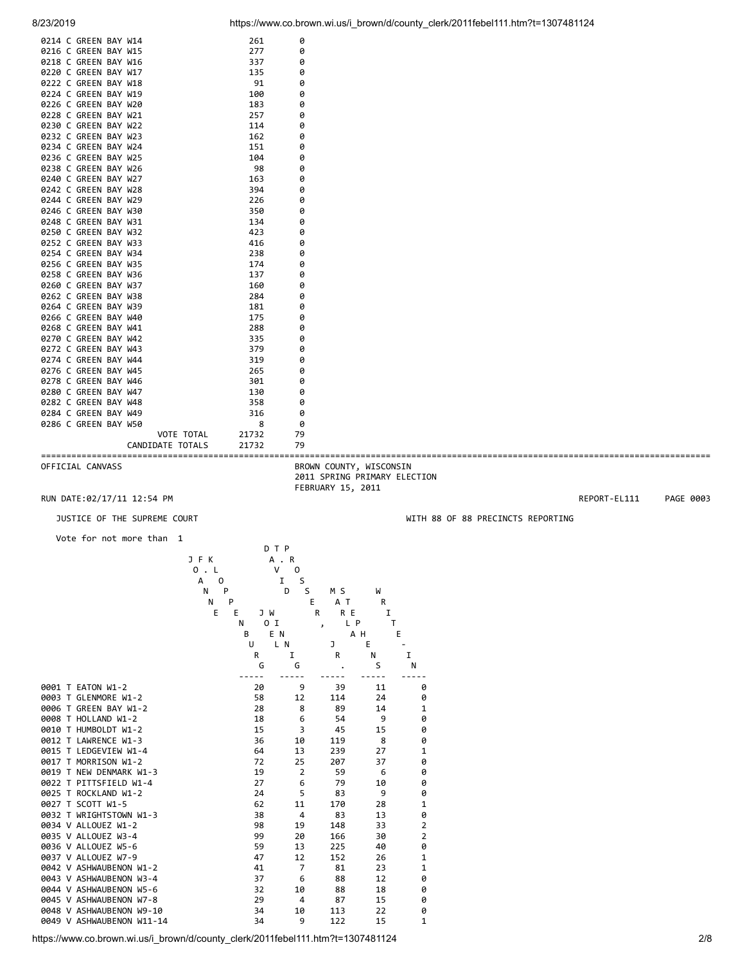|                                              | Vote for not more than 1     | n T D      |                                                                              |                                   |              |           |
|----------------------------------------------|------------------------------|------------|------------------------------------------------------------------------------|-----------------------------------|--------------|-----------|
|                                              | JUSTICE OF THE SUPREME COURT |            |                                                                              | WITH 88 OF 88 PRECINCTS REPORTING |              |           |
| RUN DATE:02/17/11 12:54 PM                   |                              |            |                                                                              |                                   | REPORT-EL111 | PAGE 0003 |
| OFFICIAL CANVASS                             |                              |            | BROWN COUNTY, WISCONSIN<br>2011 SPRING PRIMARY ELECTION<br>FEBRUARY 15, 2011 |                                   |              |           |
|                                              | CANDIDATE TOTALS             | 21732      | 79                                                                           |                                   |              |           |
|                                              | VOTE TOTAL                   | 21732      | 79                                                                           |                                   |              |           |
| 0286 C GREEN BAY W50                         |                              | 8          | 0                                                                            |                                   |              |           |
| 0284 C GREEN BAY W49                         |                              | 316        | 0                                                                            |                                   |              |           |
| 0282 C GREEN BAY W48                         |                              | 358        | 0                                                                            |                                   |              |           |
| 0280 C GREEN BAY W47                         |                              | 130        | 0                                                                            |                                   |              |           |
| 0278 C GREEN BAY W46                         |                              | 301        | 0                                                                            |                                   |              |           |
| 0274 C GREEN BAY W44<br>0276 C GREEN BAY W45 |                              | 319<br>265 | 0<br>0                                                                       |                                   |              |           |
| 0272 C GREEN BAY W43                         |                              | 379        | 0                                                                            |                                   |              |           |
| 0270 C GREEN BAY W42                         |                              | 335        | 0                                                                            |                                   |              |           |
| 0268 C GREEN BAY W41                         |                              | 288        | 0                                                                            |                                   |              |           |
| 0266 C GREEN BAY W40                         |                              | 175        | 0                                                                            |                                   |              |           |
| 0264 C GREEN BAY W39                         |                              | 181        | 0                                                                            |                                   |              |           |
| 0262 C GREEN BAY W38                         |                              | 284        | 0                                                                            |                                   |              |           |
| 0260 C GREEN BAY W37                         |                              | 160        | 0                                                                            |                                   |              |           |
| 0258 C GREEN BAY W36                         |                              | 137        | 0                                                                            |                                   |              |           |
| 0254 C GREEN BAY W34<br>0256 C GREEN BAY W35 |                              | 174        | 0<br>0                                                                       |                                   |              |           |
| 0252 C GREEN BAY W33                         |                              | 416<br>238 | 0                                                                            |                                   |              |           |
| 0250 C GREEN BAY W32                         |                              | 423        | 0                                                                            |                                   |              |           |
| 0248 C GREEN BAY W31                         |                              | 134        | 0                                                                            |                                   |              |           |
| 0246 C GREEN BAY W30                         |                              | 350        | 0                                                                            |                                   |              |           |
| 0244 C GREEN BAY W29                         |                              | 226        | 0                                                                            |                                   |              |           |
| 0242 C GREEN BAY W28                         |                              | 394        | 0                                                                            |                                   |              |           |
| 0240 C GREEN BAY W27                         |                              | 163        | 0                                                                            |                                   |              |           |
| 0238 C GREEN BAY W26                         |                              | 98         | 0                                                                            |                                   |              |           |
| 0236 C GREEN BAY W25                         |                              | 104        | 0                                                                            |                                   |              |           |
| 0234 C GREEN BAY W24                         |                              | 151        | 0                                                                            |                                   |              |           |
| 0230 C GREEN BAY W22<br>0232 C GREEN BAY W23 |                              | 114<br>162 | 0                                                                            |                                   |              |           |
| 0228 C GREEN BAY W21                         |                              | 257        | 0<br>0                                                                       |                                   |              |           |
| 0226 C GREEN BAY W20                         |                              | 183        | 0                                                                            |                                   |              |           |
| 0224 C GREEN BAY W19                         |                              | 100        | 0                                                                            |                                   |              |           |
| 0222 C GREEN BAY W18                         |                              | 91         | 0                                                                            |                                   |              |           |
| 0220 C GREEN BAY W17                         |                              | 135        | 0                                                                            |                                   |              |           |
| 0218 C GREEN BAY W16                         |                              | 337        | 0                                                                            |                                   |              |           |
| 0216 C GREEN BAY W15                         |                              | 277        | 0                                                                            |                                   |              |           |
| 0214 C GREEN BAY W14                         |                              | 261        | 0                                                                            |                                   |              |           |

|                           |        | DTP      |                      |     |                |
|---------------------------|--------|----------|----------------------|-----|----------------|
|                           | J F K  | A . R    |                      |     |                |
|                           | 0.1    | V<br>0   |                      |     |                |
|                           | A<br>0 | I        | S                    |     |                |
|                           | N<br>P | D        | S<br>M S             | W   |                |
|                           | N<br>P |          | E<br>A T             | R   |                |
|                           | Е<br>E | J W      | R                    | R E | I              |
|                           | N      | 0 I      | $\mathbf{r}$         | L P | Т              |
|                           | B      | E N      |                      | A H | E              |
|                           | U      | L N      | J                    | E   |                |
|                           |        | I<br>R   | R                    | Ν   | I              |
|                           |        | G<br>G   |                      | S   | N              |
| 0001 T EATON W1-2         |        | 20       | 9<br>39              | 11  | 0              |
| 0003 T GLENMORE W1-2      |        | 58<br>12 | 114                  | 24  | 0              |
| 0006 T GREEN BAY W1-2     |        | 28       | 8<br>89              | 14  | $\mathbf{1}$   |
| 0008 T HOLLAND W1-2       |        | 18       | 6<br>54              | 9   | 0              |
| 0010 T HUMBOLDT W1-2      |        | 15       | 3<br>45              | 15  | 0              |
| 0012 T LAWRENCE W1-3      |        | 36<br>10 | 119                  | 8   | 0              |
| 0015 T LEDGEVIEW W1-4     |        | 64<br>13 | 239                  | 27  | $\mathbf{1}$   |
| 0017 T MORRISON W1-2      |        | 72<br>25 | 207                  | 37  | 0              |
| 0019 T NEW DENMARK W1-3   |        | 19       | $\overline{2}$<br>59 | 6   | 0              |
| 0022 T PITTSFIELD W1-4    |        | 27       | 6<br>79              | 10  | 0              |
| 0025 T ROCKLAND W1-2      |        | 24       | 5<br>83              | 9   | 0              |
| 0027 T SCOTT W1-5         |        | 62<br>11 | 170                  | 28  | 1              |
| 0032 T WRIGHTSTOWN W1-3   |        | 38       | $\overline{4}$<br>83 | 13  | 0              |
| 0034 V ALLOUEZ W1-2       |        | 19<br>98 | 148                  | 33  | $\mathbf 2$    |
| 0035 V ALLOUEZ W3-4       |        | 99<br>20 | 166                  | 30  | $\overline{2}$ |
| 0036 V ALLOUEZ W5-6       |        | 59<br>13 | 225                  | 40  | 0              |
| 0037 V ALLOUEZ W7-9       |        | 47<br>12 | 152                  | 26  | $\mathbf{1}$   |
| 0042 V ASHWAUBENON W1-2   |        | 41       | $\overline{7}$<br>81 | 23  | $\mathbf{1}$   |
| 0043 V ASHWAUBENON W3-4   |        | 37       | 88<br>6              | 12  | 0              |
| 0044 V ASHWAUBENON W5-6   |        | 32<br>10 | 88                   | 18  | 0              |
| 0045 V ASHWAUBENON W7-8   |        | 29       | 4<br>87              | 15  | 0              |
| 0048 V ASHWAUBENON W9-10  |        | 34<br>10 | 113                  | 22  | 0              |
| 0049 V ASHWAUBENON W11-14 |        | 34       | 9<br>122             | 15  | 1              |

https://www.co.brown.wi.us/i\_brown/d/county\_clerk/2011febel111.htm?t=1307481124 2/8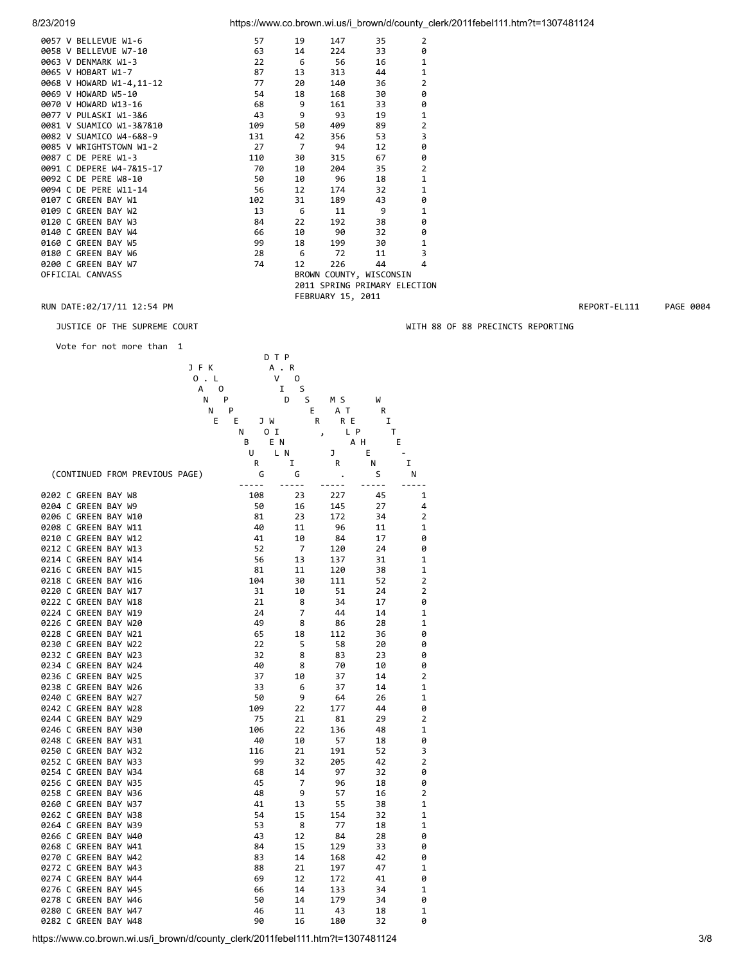| 8/23/2019 |  |  |
|-----------|--|--|
|           |  |  |

8/23/2019 https://www.co.brown.wi.us/i\_brown/d/county\_clerk/2011febel111.htm?t=1307481124

| 0057 V BELLEVUE W1-6     | 57  | 19             | 147               | 35                           | $\overline{2}$ |
|--------------------------|-----|----------------|-------------------|------------------------------|----------------|
| 0058 V BELLEVUE W7-10    | 63  | 14             | 224               | 33                           | 0              |
| 0063 V DENMARK W1-3      | 22  | - 6            | 56                | 16                           | $\mathbf{1}$   |
| 0065 V HOBART W1-7       | 87  | 13             | 313               | 44                           | $\mathbf{1}$   |
| 0068 V HOWARD W1-4,11-12 | 77  | 20             | 140               | 36                           | $\overline{2}$ |
| 0069 V HOWARD W5-10      | 54  | 18             | 168               | 30                           | 0              |
| 0070 V HOWARD W13-16     | 68  | 9              | 161               | 33                           | 0              |
| 0077 V PULASKI W1-3&6    | 43  | 9              | 93                | 19                           | 1              |
| 0081 V SUAMICO W1-3&7&10 | 109 | 50             | 409               | 89                           | $\overline{2}$ |
| 0082 V SUAMICO W4-6&8-9  | 131 | 42             | 356               | 53                           | 3              |
| 0085 V WRIGHTSTOWN W1-2  | 27  | $\overline{7}$ | 94                | 12                           | 0              |
| 0087 C DE PERE W1-3      | 110 | 30             | 315               | 67                           | 0              |
| 0091 C DEPERE W4-7&15-17 | 70  | 10             | 204               | 35                           | $\overline{2}$ |
| 0092 C DE PERE W8-10     | 50  | 10             | 96                | 18                           | $\mathbf 1$    |
| 0094 C DE PERE W11-14    | 56  | 12             | 174               | 32                           | $\mathbf{1}$   |
| 0107 C GREEN BAY W1      | 102 | 31             | 189               | 43                           | 0              |
| 0109 C GREEN BAY W2      | 13  | - 6            | 11                | 9                            | $\mathbf{1}$   |
| 0120 C GREEN BAY W3      | 84  | 22             | 192               | 38                           | 0              |
| 0140 C GREEN BAY W4      | 66  | 10             | 90                | 32                           | 0              |
| 0160 C GREEN BAY W5      | 99  | 18             | 199               | 30                           | $\mathbf{1}$   |
| 0180 C GREEN BAY W6      | 28  | -6             | 72                | 11                           | 3              |
| 0200 C GREEN BAY W7      | 74  | 12             | 226               | 44                           | 4              |
| OFFICIAL CANVASS         |     |                |                   | BROWN COUNTY, WISCONSIN      |                |
|                          |     |                |                   | 2011 SPRING PRIMARY ELECTION |                |
|                          |     |                | FEBRUARY 15, 2011 |                              |                |

### RUN DATE:02/17/11 12:54 PM REPORT-EL111 PAGE 0004

Vote for not more than 1



https://www.co.brown.wi.us/i\_brown/d/county\_clerk/2011febel111.htm?t=1307481124 3/8

JUSTICE OF THE SUPREME COURT WITH 88 OF 88 PRECINCTS REPORTING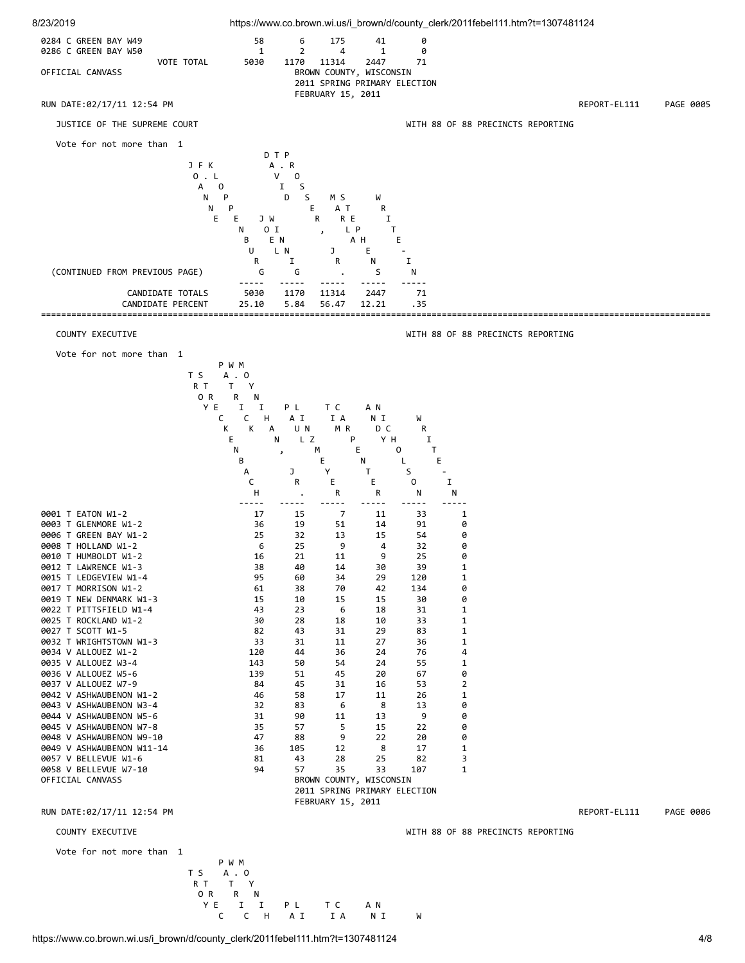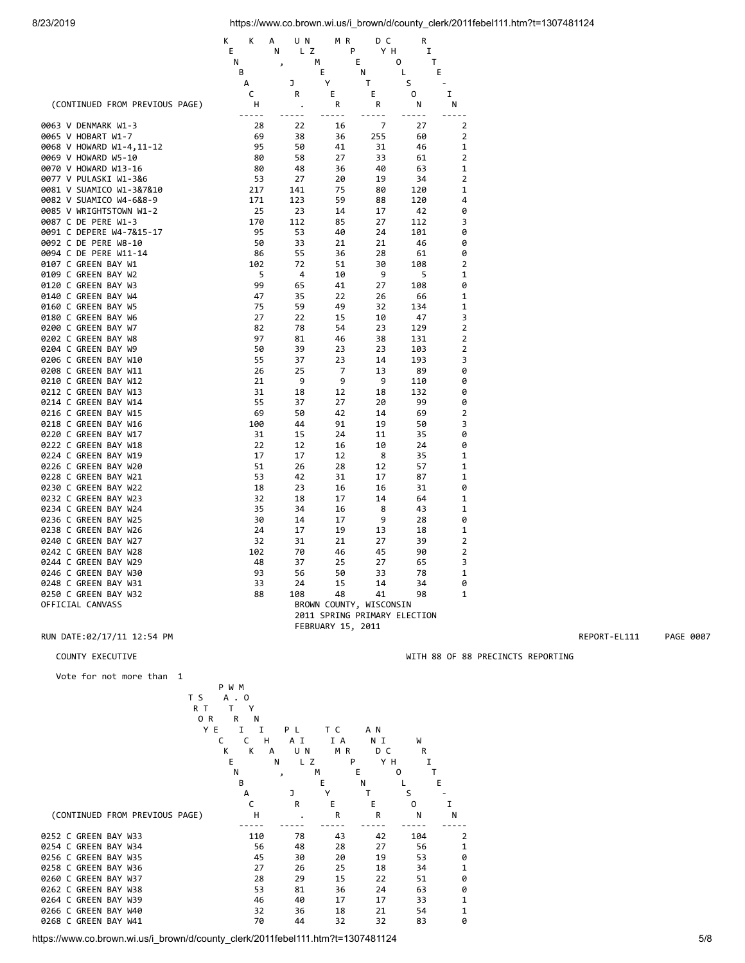|                                                   | K<br>К<br>Е | А<br>UN<br>L Z<br>N | M R<br>P                     | DС<br>Y H    | R<br>I    |                     |
|---------------------------------------------------|-------------|---------------------|------------------------------|--------------|-----------|---------------------|
|                                                   | Ν           | $\mathbf{z}$        | E<br>м                       |              | 0<br>т    |                     |
|                                                   | B<br>А      | J                   | E<br>Υ                       | Ν<br>Τ       | L<br>S    | E                   |
|                                                   | c           | R                   | Е                            | Е            | 0         | I                   |
| (CONTINUED FROM PREVIOUS PAGE)                    | н<br>----   | ò.                  | R<br>$- - -$                 | R<br>$- - -$ | N         | N                   |
| 0063 V DENMARK W1-3                               | 28          | 22                  | 16                           | 7            | 27        | 2                   |
| 0065 V HOBART W1-7                                | 69          | 38                  | 36                           | 255          | 60        | 2                   |
| 0068 V HOWARD W1-4,11-12                          | 95          | 50                  | 41                           | 31           | 46        | 1                   |
| 0069 V HOWARD W5-10                               | 80          | 58                  | 27                           | 33           | 61        | $\overline{2}$      |
| 0070 V HOWARD W13-16                              | 80          | 48<br>27            | 36                           | 40           | 63        | 1<br>2              |
| 0077 V PULASKI W1-3&6<br>0081 V SUAMICO W1-3&7&10 | 53<br>217   | 141                 | 20<br>75                     | 19<br>80     | 34<br>120 | 1                   |
| 0082 V SUAMICO W4-6&8-9                           | 171         | 123                 | 59                           | 88           | 120       | 4                   |
| 0085 V WRIGHTSTOWN W1-2                           | 25          | 23                  | 14                           | 17           | 42        | 0                   |
| 0087 C DE PERE W1-3                               | 170         | 112                 | 85                           | 27           | 112       | 3                   |
| 0091 C DEPERE W4-7&15-17                          | 95          | 53                  | 40                           | 24           | 101       | 0                   |
| 0092 C DE PERE W8-10                              | 50          | 33                  | 21                           | 21           | 46        | 0                   |
| 0094 C DE PERE W11-14                             | 86          | 55                  | 36                           | 28           | 61        | 0                   |
| 0107 C GREEN BAY W1                               | 102         | 72                  | 51                           | 30           | 108       | $\overline{2}$      |
| 0109 C GREEN BAY W2                               | 5           | 4                   | 10                           | 9            | 5         | 1                   |
| 0120 C GREEN BAY W3                               | 99          | 65                  | 41                           | 27           | 108       | 0                   |
| 0140 C GREEN BAY W4                               | 47          | 35                  | 22                           | 26           | 66        | 1                   |
| 0160 C GREEN BAY W5                               | 75          | 59                  | 49                           | 32           | 134       | 1                   |
| 0180 C GREEN BAY W6                               | 27          | 22                  | 15                           | 10           | 47        | 3                   |
| 0200 C GREEN BAY W7                               | 82          | 78                  | 54                           | 23           | 129       | $\overline{2}$      |
| 0202 C GREEN BAY W8                               | 97          | 81                  | 46                           | 38           | 131       | $\overline{2}$      |
| 0204 C GREEN BAY W9                               | 50          | 39                  | 23                           | 23           | 103       | $\overline{2}$      |
| 0206 C GREEN BAY W10                              | 55          | 37                  | 23                           | 14           | 193       | 3                   |
| 0208 C GREEN BAY W11                              | 26          | 25                  | 7                            | 13           | 89        | 0                   |
| 0210 C GREEN BAY W12                              | 21          | 9                   | 9                            | 9            | 110       | 0                   |
| 0212 C GREEN BAY W13                              | 31          | 18                  | 12                           | 18           | 132       | 0                   |
| 0214 C GREEN BAY W14<br>0216 C GREEN BAY W15      | 55<br>69    | 37<br>50            | 27<br>42                     | 20<br>14     | 99<br>69  | 0<br>$\overline{2}$ |
| 0218 C GREEN BAY W16                              | 100         | 44                  | 91                           | 19           | 50        | 3                   |
| 0220 C GREEN BAY W17                              | 31          | 15                  | 24                           | 11           | 35        | 0                   |
| 0222 C GREEN BAY W18                              | 22          | 12                  | 16                           | 10           | 24        | 0                   |
| 0224 C GREEN BAY W19                              | 17          | 17                  | 12                           | 8            | 35        | 1                   |
| 0226 C GREEN BAY W20                              | 51          | 26                  | 28                           | 12           | 57        | 1                   |
| 0228 C GREEN BAY W21                              | 53          | 42                  | 31                           | 17           | 87        | 1                   |
| 0230 C GREEN BAY W22                              | 18          | 23                  | 16                           | 16           | 31        | 0                   |
| 0232 C GREEN BAY W23                              | 32          | 18                  | 17                           | 14           | 64        | 1                   |
| 0234 C GREEN BAY W24                              | 35          | 34                  | 16                           | 8            | 43        | 1                   |
| 0236 C GREEN BAY W25                              | 30          | 14                  | 17                           | 9            | 28        | 0                   |
| 0238 C GREEN BAY W26                              | 24          | 17                  | 19                           | 13           | 18        | 1                   |
| 0240 C GREEN BAY W27                              | 32          | 31                  | 21                           | 27           | 39        | $\overline{2}$      |
| 0242 C GREEN BAY W28                              | 102         | 70                  | 46                           | 45           | 90        | $\overline{2}$      |
| 0244 C GREEN BAY W29                              | 48          | 37                  | 25                           | 27           | 65        | 3                   |
| 0246 C GREEN BAY W30                              | 93          | 56                  | 50                           | 33           | 78        | 1                   |
| 0248 C GREEN BAY W31                              | 33          | 24                  | 15                           | 14           | 34        | 0                   |
| 0250 C GREEN BAY W32                              | 88          | 108                 | 48                           | 41           | 98        | 1                   |
| OFFICIAL CANVASS                                  |             |                     | BROWN COUNTY, WISCONSIN      |              |           |                     |
|                                                   |             |                     | 2011 SPRING PRIMARY ELECTION |              |           |                     |

## RUN DATE:02/17/11 12:54 PM REPORT-EL111 PAGE 0007

Vote for not more than 1

|  |                      |                                |        | P W M  |              |        |              |     |          |   |
|--|----------------------|--------------------------------|--------|--------|--------------|--------|--------------|-----|----------|---|
|  |                      |                                | T S    | A<br>0 |              |        |              |     |          |   |
|  |                      |                                | R T    | Υ      |              |        |              |     |          |   |
|  |                      |                                | 0<br>R | R<br>N |              |        |              |     |          |   |
|  |                      |                                | Y E    | I<br>I |              | P L    | тc           | A N |          |   |
|  |                      |                                |        | C<br>C | н            | ΑI     | I A          | ΝI  | W        |   |
|  |                      |                                |        | K<br>К | A            | U N    | M<br>R       | D C | R        |   |
|  |                      |                                |        | E      | N            | z<br>L | P            | Y H | I        |   |
|  |                      |                                |        | N      | $\mathbf{r}$ | М      |              | Ε   | т<br>0   |   |
|  |                      |                                |        | B      |              |        | E            | Ν   |          | E |
|  |                      |                                |        | A      |              | J      | Υ            | Т   | S        |   |
|  |                      |                                |        | C      |              | R      | E            | E   | $\Omega$ | I |
|  |                      | (CONTINUED FROM PREVIOUS PAGE) |        | Н      |              |        | $\mathsf{R}$ | R   | N        | N |
|  |                      |                                |        |        |              |        |              |     |          |   |
|  | 0252 C GREEN BAY W33 |                                |        | 110    |              | 78     | 43           | 42  | 104      | 2 |
|  | 0254 C GREEN BAY W34 |                                |        | 56     |              | 48     | 28           | 27  | 56       | 1 |
|  | 0256 C GREEN BAY W35 |                                |        | 45     |              | 30     | 20           | 19  | 53       | 0 |
|  | 0258 C GREEN BAY W36 |                                |        | 27     |              | 26     | 25           | 18  | 34       | 1 |
|  | 0260 C GREEN BAY W37 |                                |        | 28     |              | 29     | 15           | 22  | 51       | 0 |
|  | 0262 C GREEN BAY W38 |                                |        | 53     |              | 81     | 36           | 24  | 63       | 0 |
|  | 0264 C GREEN BAY W39 |                                |        | 46     |              | 40     | 17           | 17  | 33       | 1 |
|  | 0266 C GREEN BAY W40 |                                |        | 32     |              | 36     | 18           | 21  | 54       | 1 |
|  | 0268 C GREEN BAY W41 |                                |        | 70     |              | 44     | 32           | 32  | 83       | 0 |
|  |                      |                                |        |        |              |        |              |     |          |   |

https://www.co.brown.wi.us/i\_brown/d/county\_clerk/2011febel111.htm?t=1307481124 5/8

FEBRUARY 15, 2011

COUNTY EXECUTIVE WITH 88 OF 88 PRECINCTS REPORTING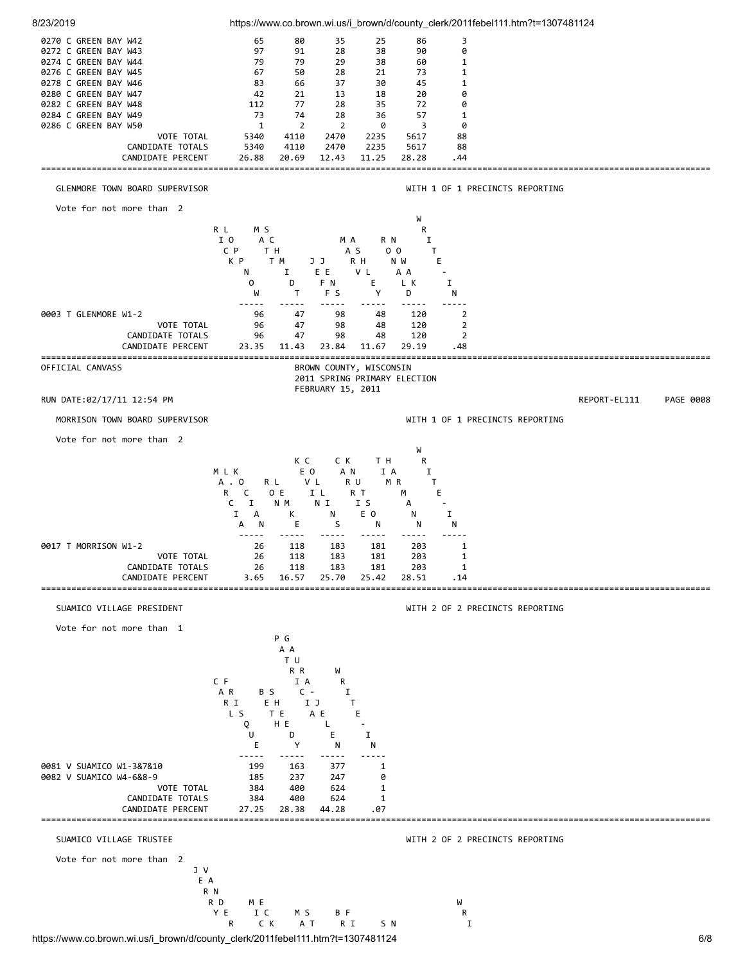

https://www.co.brown.wi.us/i\_brown/d/county\_clerk/2011febel111.htm?t=1307481124 6/8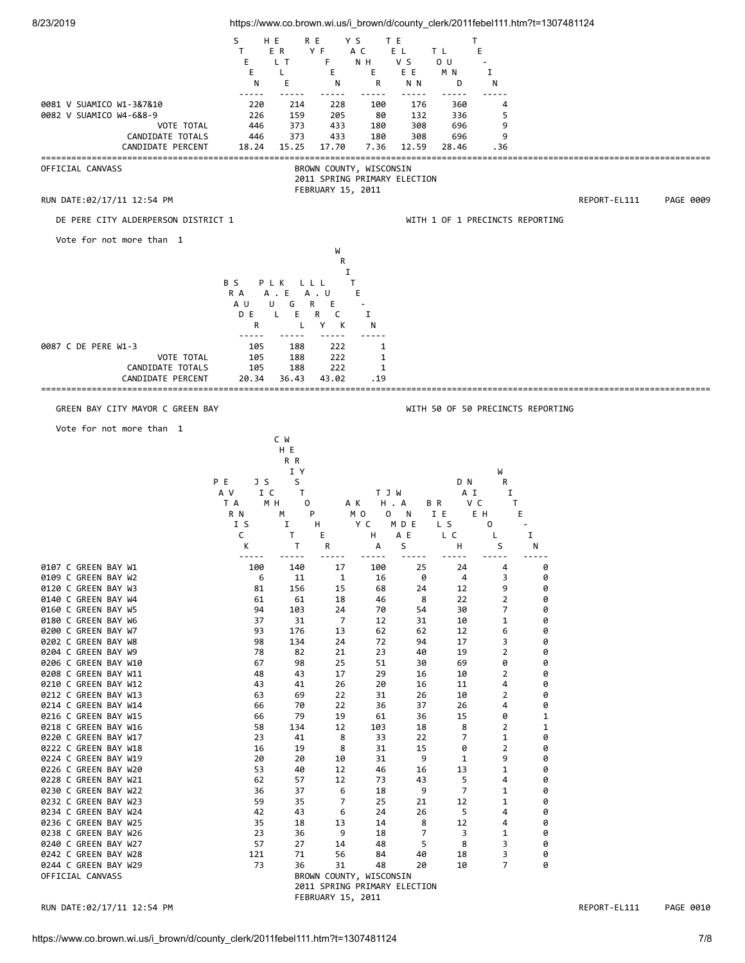| 8/23/2019                                    |                          |                       |                   |                                                         |              |                | https://www.co.brown.wi.us/i brown/d/county clerk/2011febel111.htm?t=1307481124 |                   |              |                   |
|----------------------------------------------|--------------------------|-----------------------|-------------------|---------------------------------------------------------|--------------|----------------|---------------------------------------------------------------------------------|-------------------|--------------|-------------------|
|                                              | S<br>H E<br>$\mathsf{T}$ | R E<br>E R            | Y S<br>Y F        | T E<br>A C                                              | E L          | T L            | T<br>E                                                                          |                   |              |                   |
|                                              | Е                        | L T                   | F                 | N H                                                     | v s          | 0 <sub>U</sub> |                                                                                 |                   |              |                   |
|                                              | Е<br>N                   | L<br>Ε                | Е<br>N            | Е<br>R                                                  | ΕE<br>N N    | M N<br>D       | I<br>N                                                                          |                   |              |                   |
| 0081 V SUAMICO W1-3&7&10                     | -----<br>220             | 214                   | 228               | 100                                                     | 176          | 360            | 4                                                                               |                   |              |                   |
| 0082 V SUAMICO W4-6&8-9<br>VOTE TOTAL        | 226<br>446               | 159<br>373            | 205<br>433        | 80<br>180                                               | 132<br>308   | 336<br>696     | 5<br>9                                                                          |                   |              |                   |
| CANDIDATE TOTALS<br>CANDIDATE PERCENT        | 446<br>18.24             | 373<br>15.25          | 433<br>17.70      | 180<br>7.36                                             | 308<br>12.59 | 696<br>28.46   | 9<br>. 36                                                                       |                   |              |                   |
|                                              |                          |                       |                   |                                                         |              |                |                                                                                 |                   |              | ================= |
| OFFICIAL CANVASS                             |                          |                       |                   | BROWN COUNTY, WISCONSIN<br>2011 SPRING PRIMARY ELECTION |              |                |                                                                                 |                   |              |                   |
| RUN DATE:02/17/11 12:54 PM                   |                          |                       | FEBRUARY 15, 2011 |                                                         |              |                |                                                                                 |                   | REPORT-EL111 | PAGE 0009         |
| DE PERE CITY ALDERPERSON DISTRICT 1          |                          |                       |                   |                                                         |              |                | WITH 1 OF 1 PRECINCTS REPORTING                                                 |                   |              |                   |
| Vote for not more than 1                     |                          |                       |                   |                                                         |              |                |                                                                                 |                   |              |                   |
|                                              |                          |                       | W<br>R            |                                                         |              |                |                                                                                 |                   |              |                   |
|                                              |                          |                       | I                 |                                                         |              |                |                                                                                 |                   |              |                   |
|                                              | B S<br>PLK<br>R A        | L L L<br>A . E        | T<br>A . U        | E                                                       |              |                |                                                                                 |                   |              |                   |
|                                              | A U<br>D E               | G<br>R<br>U<br>L<br>Е | Е<br>C<br>R       | I                                                       |              |                |                                                                                 |                   |              |                   |
|                                              | R                        | L                     | Υ<br>К            | N                                                       |              |                |                                                                                 |                   |              |                   |
| 0087 C DE PERE W1-3                          | 105                      | 188                   | 222               | 1                                                       |              |                |                                                                                 |                   |              |                   |
| VOTE TOTAL<br>CANDIDATE TOTALS               | 105<br>105               | 188<br>188            | 222<br>222        | 1<br>1                                                  |              |                |                                                                                 |                   |              |                   |
| CANDIDATE PERCENT                            | 20.34                    | 36.43                 | 43.02             | . 19                                                    |              |                |                                                                                 |                   |              |                   |
| GREEN BAY CITY MAYOR C GREEN BAY             |                          |                       |                   |                                                         |              |                | WITH 50 OF 50 PRECINCTS REPORTING                                               |                   |              |                   |
| Vote for not more than 1                     |                          |                       |                   |                                                         |              |                |                                                                                 |                   |              |                   |
|                                              |                          | C W<br>H E            |                   |                                                         |              |                |                                                                                 |                   |              |                   |
|                                              |                          | R R                   |                   |                                                         |              |                |                                                                                 |                   |              |                   |
| P E                                          | J S                      | I Y<br>S              |                   |                                                         |              | D N            | W<br>R                                                                          |                   |              |                   |
|                                              | A V<br>I C<br>T A<br>MН  | T<br>0                | AK                | TJW<br>H . A                                            | B R          | A I            | Ι.<br>v c<br>T.                                                                 |                   |              |                   |
|                                              | R N<br>I S               | М<br>P<br>1           | H                 | M O<br>0<br>Y C                                         | N<br>MD E    | IE<br>L S      | E H<br>E.<br>0                                                                  |                   |              |                   |
|                                              | C                        | T                     | Е                 | н                                                       | A E          | L C            | L                                                                               | 1                 |              |                   |
|                                              | К                        | T                     | R                 | А                                                       | S            | н              | S                                                                               | N                 |              |                   |
| 0107 C GREEN BAY W1<br>0109 C GREEN BAY W2   | 100<br>6                 | 140<br>11             | 17<br>1           | 100<br>16                                               | 25<br>0      | 24<br>4        | 4<br>3                                                                          | 0<br>0            |              |                   |
| 0120 C GREEN BAY W3<br>0140 C GREEN BAY W4   | 81<br>61                 | 156<br>61             | 15<br>18          | 68<br>46                                                | 24<br>8      | 12<br>22       | 9<br>$\overline{2}$                                                             | 0<br>0            |              |                   |
| 0160 C GREEN BAY W5                          | 94                       | 103                   | 24                | 70                                                      | 54           | 30             | 7                                                                               | 0                 |              |                   |
| 0180 C GREEN BAY W6<br>0200 C GREEN BAY W7   | 37<br>93                 | 31<br>176             | 7<br>13           | 12<br>62                                                | 31<br>62     | 10<br>12       | $\mathbf 1$<br>6                                                                | 0<br>0            |              |                   |
| 0202 C GREEN BAY W8<br>0204 C GREEN BAY W9   | 98<br>78                 | 134<br>82             | 24<br>21          | 72<br>23                                                | 94<br>40     | 17<br>19       | 3<br>$\overline{2}$                                                             | 0<br>0            |              |                   |
| 0206 C GREEN BAY W10<br>0208 C GREEN BAY W11 | 67<br>48                 | 98<br>43              | 25<br>17          | 51<br>29                                                | 30<br>16     | 69<br>10       | 0<br>$\overline{2}$                                                             | 0<br>0            |              |                   |
| 0210 C GREEN BAY W12                         | 43                       | 41                    | 26                | 20                                                      | 16           | 11             | 4                                                                               | 0                 |              |                   |
| 0212 C GREEN BAY W13<br>0214 C GREEN BAY W14 | 63<br>66                 | 69<br>70              | 22<br>22          | 31<br>36                                                | 26<br>37     | 10<br>26       | 2<br>4                                                                          | 0<br>0            |              |                   |
| 0216 C GREEN BAY W15<br>0218 C GREEN BAY W16 | 66<br>58                 | 79<br>134             | 19<br>12          | 61<br>103                                               | 36<br>18     | 15<br>8        | 0<br>2                                                                          | 1<br>$\mathbf{1}$ |              |                   |
| 0220 C GREEN BAY W17                         | 23                       | 41                    | 8<br>8            | 33                                                      | 22<br>15     | 7              | $\mathbf 1$<br>$\overline{2}$                                                   | 0<br>0            |              |                   |
| 0222 C GREEN BAY W18<br>0224 C GREEN BAY W19 | 16<br>20                 | 19<br>20              | 10                | 31<br>31                                                | 9            | 0<br>1         | 9                                                                               | 0                 |              |                   |
| 0226 C GREEN BAY W20<br>0228 C GREEN BAY W21 | 53<br>62                 | 40<br>57              | 12<br>12          | 46<br>73                                                | 16<br>43     | 13<br>5        | 1<br>4                                                                          | 0<br>0            |              |                   |
| 0230 C GREEN BAY W22<br>0232 C GREEN BAY W23 | 36<br>59                 | 37<br>35              | 6<br>7            | 18<br>25                                                | 9<br>21      | 7<br>12        | $\mathbf 1$<br>1                                                                | 0<br>0            |              |                   |
| 0234 C GREEN BAY W24                         | 42                       | 43                    | 6                 | 24                                                      | 26           | 5              | 4                                                                               | 0                 |              |                   |
| 0236 C GREEN BAY W25<br>0238 C GREEN BAY W26 | 35<br>23                 | 18<br>36              | 13<br>9           | 14<br>18                                                | 8<br>7       | 12<br>3        | 4<br>$\mathbf 1$                                                                | 0<br>0            |              |                   |
| 0240 C GREEN BAY W27<br>0242 C GREEN BAY W28 | 57<br>121                | 27<br>71              | 14<br>56          | 48<br>84                                                | 5<br>40      | 8<br>18        | 3<br>3                                                                          | 0<br>0            |              |                   |
| 0244 C GREEN BAY W29<br>OFFICIAL CANVASS     | 73                       | 36                    | 31                | 48<br>BROWN COUNTY, WISCONSIN                           | 20           | 10             | 7                                                                               | 0                 |              |                   |
|                                              |                          |                       |                   | 2011 SPRING PRIMARY ELECTION                            |              |                |                                                                                 |                   |              |                   |
|                                              |                          |                       | FEBRUARY 15, 2011 |                                                         |              |                |                                                                                 |                   |              |                   |